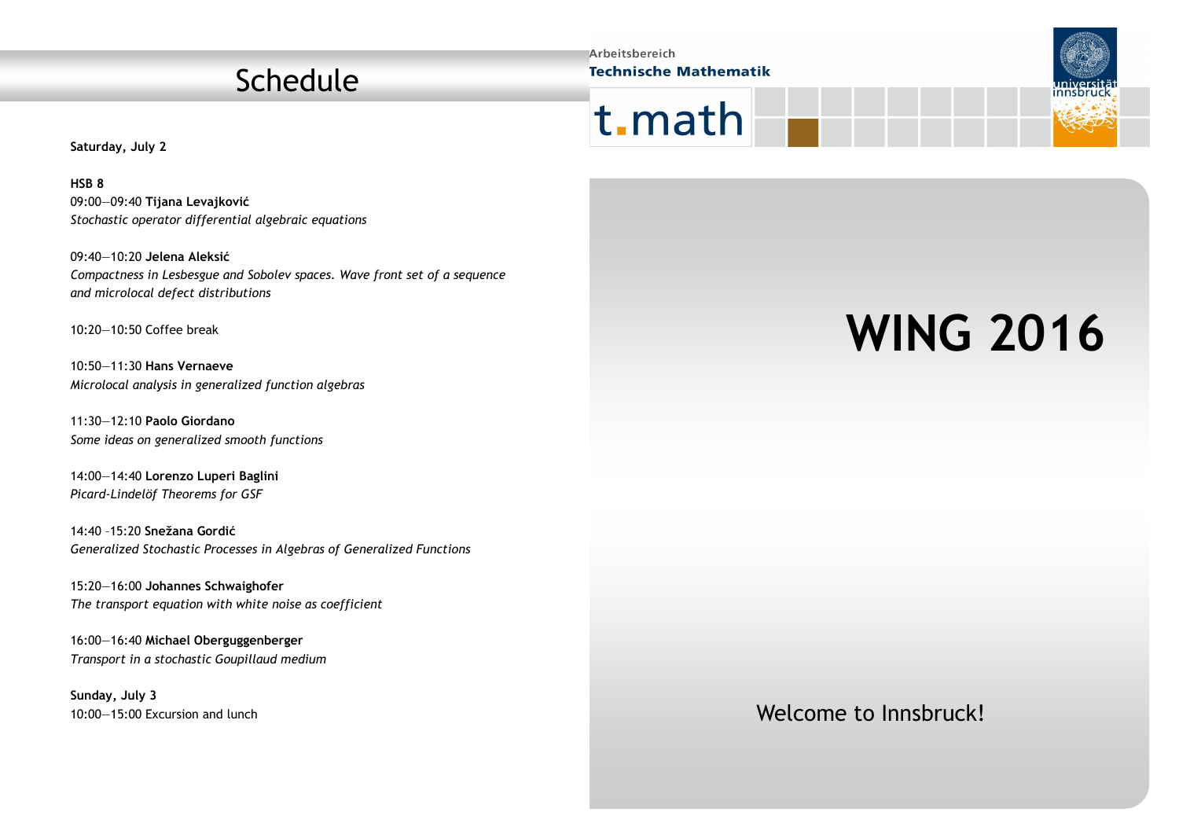## Schedule

**Arbeitsbereich Technische Mathematik** 





**Saturday, July 2**

**HSB 8** 09:00—09:40 **Tijana Levajković**  *Stochastic operator differential algebraic equations*

09:40—10:20 **Jelena Aleksić** *Compactness in Lesbesgue and Sobolev spaces. Wave front set of a sequence and microlocal defect distributions*

10:20—10:50 Coffee break

10:50—11:30 **Hans Vernaeve** *Microlocal analysis in generalized function algebras*

11:30—12:10 **Paolo Giordano** *Some ideas on generalized smooth functions*

14:00—14:40 **Lorenzo Luperi Baglini** *Picard-Lindelöf Theorems for GSF*

14:40 –15:20 **Snežana Gordić** *Generalized Stochastic Processes in Algebras of Generalized Functions*

15:20—16:00 **Johannes Schwaighofer** *The transport equation with white noise as coefficient*

16:00—16:40 **Michael Oberguggenberger** *Transport in a stochastic Goupillaud medium* 

**Sunday, July 3** 10:00—15:00 Excursion and lunch

# **WING 2016**

### Welcome to Innsbruck!